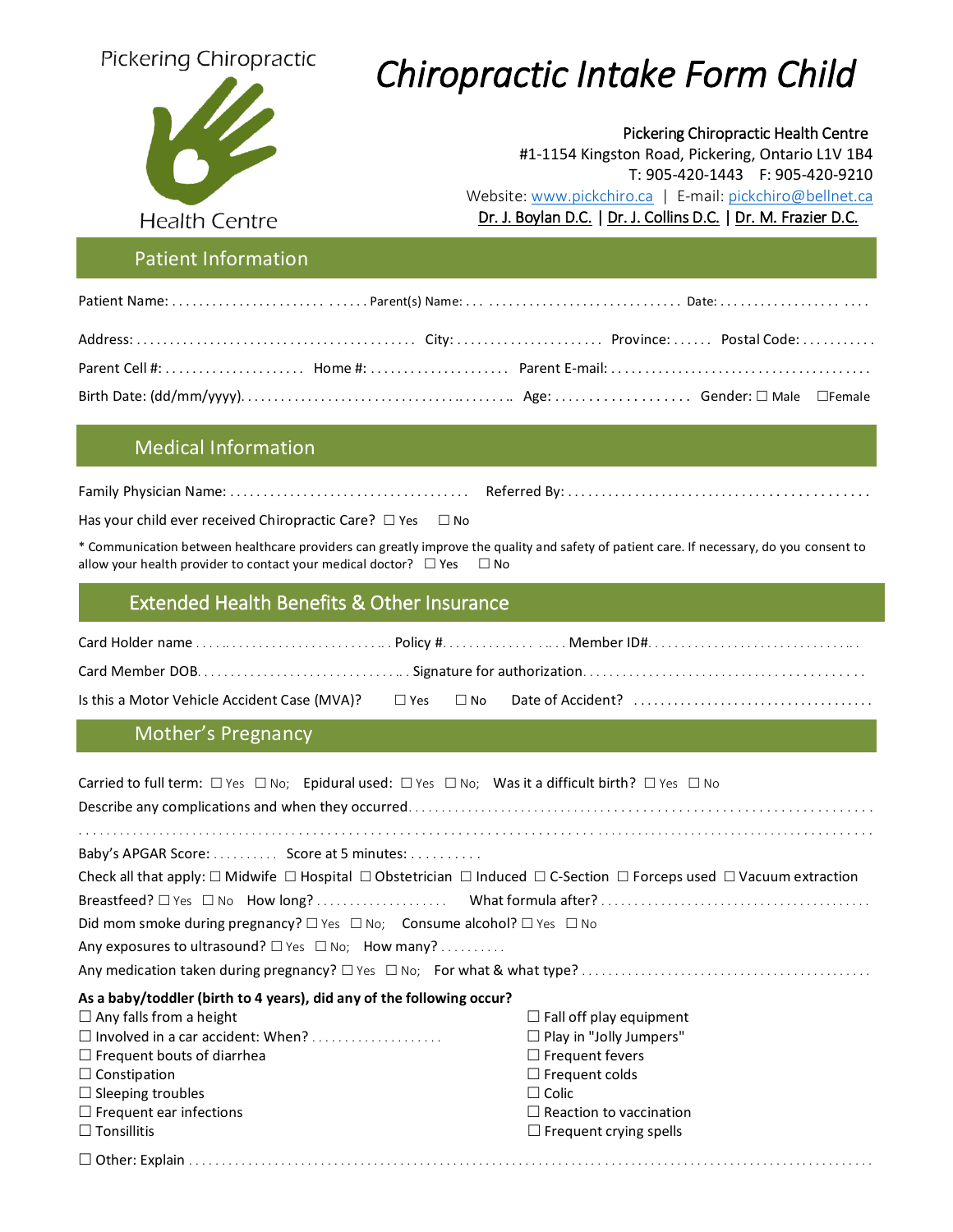

# Pickering Chiropractic **Chiropractic Intake Form Child**

Pickering Chiropractic Health Centre #1-1154 Kingston Road, Pickering, Ontario L1V 1B4 T: 905-420-1443 F: 905-420-9210 Website: [www.pickchiro.ca](http://www.pickchiro.ca/) | E-mail: [pickchiro@bellnet.ca](mailto:pickchiro@bellnet.ca) Health Centre **Example 20** Pr. J. Boylan D.C. | Dr. J. Collins D.C. | Dr. M. Frazier D.C.

Family Physician Name: . . . . . . . . . . . . . . . . . . . . . . . . . . . . . . . . . . . . Referred By: . . . . . . . . . . . . . . . . . . . . . . . . . . . . . . . . . . . . . . . . . . . .

#### Patient Information

### Medical Information

|--|--|

Has your child ever received Chiropractic Care?  $\Box$  Yes  $\Box$  No

\* Communication between healthcare providers can greatly improve the quality and safety of patient care. If necessary, do you consent to allow your health provider to contact your medical doctor?  $\Box$  Yes  $\Box$  No

#### Extended Health Benefits & Other Insurance Extended Health Benefits & Other Insurance

### Mother's Pregnancy

| Carried to full term: $\Box$ Yes $\Box$ No; Epidural used: $\Box$ Yes $\Box$ No; Was it a difficult birth? $\Box$ Yes $\Box$ No                       |                                |  |  |  |  |
|-------------------------------------------------------------------------------------------------------------------------------------------------------|--------------------------------|--|--|--|--|
|                                                                                                                                                       |                                |  |  |  |  |
|                                                                                                                                                       |                                |  |  |  |  |
| Baby's APGAR Score:  Score at 5 minutes:                                                                                                              |                                |  |  |  |  |
| Check all that apply: $\Box$ Midwife $\Box$ Hospital $\Box$ Obstetrician $\Box$ Induced $\Box$ C-Section $\Box$ Forceps used $\Box$ Vacuum extraction |                                |  |  |  |  |
|                                                                                                                                                       |                                |  |  |  |  |
| Did mom smoke during pregnancy? $\square$ Yes $\square$ No; Consume alcohol? $\square$ Yes $\square$ No                                               |                                |  |  |  |  |
| Any exposures to ultrasound? $\square$ Yes $\square$ No; How many?                                                                                    |                                |  |  |  |  |
|                                                                                                                                                       |                                |  |  |  |  |
| As a baby/toddler (birth to 4 years), did any of the following occur?                                                                                 |                                |  |  |  |  |
| $\Box$ Any falls from a height                                                                                                                        | $\Box$ Fall off play equipment |  |  |  |  |
| $\Box$ Involved in a car accident: When?                                                                                                              | $\Box$ Play in "Jolly Jumpers" |  |  |  |  |
| $\Box$ Frequent bouts of diarrhea                                                                                                                     | $\Box$ Frequent fevers         |  |  |  |  |
| $\Box$ Constipation                                                                                                                                   | $\Box$ Frequent colds          |  |  |  |  |
| $\Box$ Sleeping troubles                                                                                                                              | $\Box$ Colic                   |  |  |  |  |
| $\Box$ Frequent ear infections                                                                                                                        | $\Box$ Reaction to vaccination |  |  |  |  |
| $\Box$ Tonsillitis                                                                                                                                    | $\Box$ Frequent crying spells  |  |  |  |  |
|                                                                                                                                                       |                                |  |  |  |  |